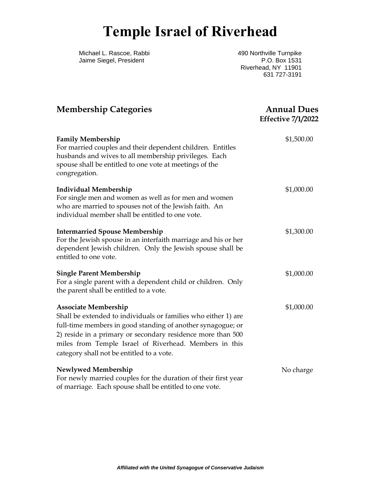## **Temple Israel of Riverhead**

Michael L. Rascoe, Rabbi Jaime Siegel, President

490 Northville Turnpike P.O. Box 1531 Riverhead, NY 11901 631 727-3191

| <b>Membership Categories</b>                                                                                                                                                                                                                                                                                                       | <b>Annual Dues</b><br><b>Effective 7/1/2022</b> |
|------------------------------------------------------------------------------------------------------------------------------------------------------------------------------------------------------------------------------------------------------------------------------------------------------------------------------------|-------------------------------------------------|
| <b>Family Membership</b><br>For married couples and their dependent children. Entitles<br>husbands and wives to all membership privileges. Each<br>spouse shall be entitled to one vote at meetings of the<br>congregation.                                                                                                        | \$1,500.00                                      |
| <b>Individual Membership</b><br>For single men and women as well as for men and women<br>who are married to spouses not of the Jewish faith. An<br>individual member shall be entitled to one vote.                                                                                                                                | \$1,000.00                                      |
| <b>Intermarried Spouse Membership</b><br>For the Jewish spouse in an interfaith marriage and his or her<br>dependent Jewish children. Only the Jewish spouse shall be<br>entitled to one vote.                                                                                                                                     | \$1,300.00                                      |
| <b>Single Parent Membership</b><br>For a single parent with a dependent child or children. Only<br>the parent shall be entitled to a vote.                                                                                                                                                                                         | \$1,000.00                                      |
| <b>Associate Membership</b><br>Shall be extended to individuals or families who either 1) are<br>full-time members in good standing of another synagogue; or<br>2) reside in a primary or secondary residence more than 500<br>miles from Temple Israel of Riverhead. Members in this<br>category shall not be entitled to a vote. | \$1,000.00                                      |
| Newlywed Membership<br>For newly married couples for the duration of their first year<br>of marriage. Each spouse shall be entitled to one vote.                                                                                                                                                                                   | No charge                                       |